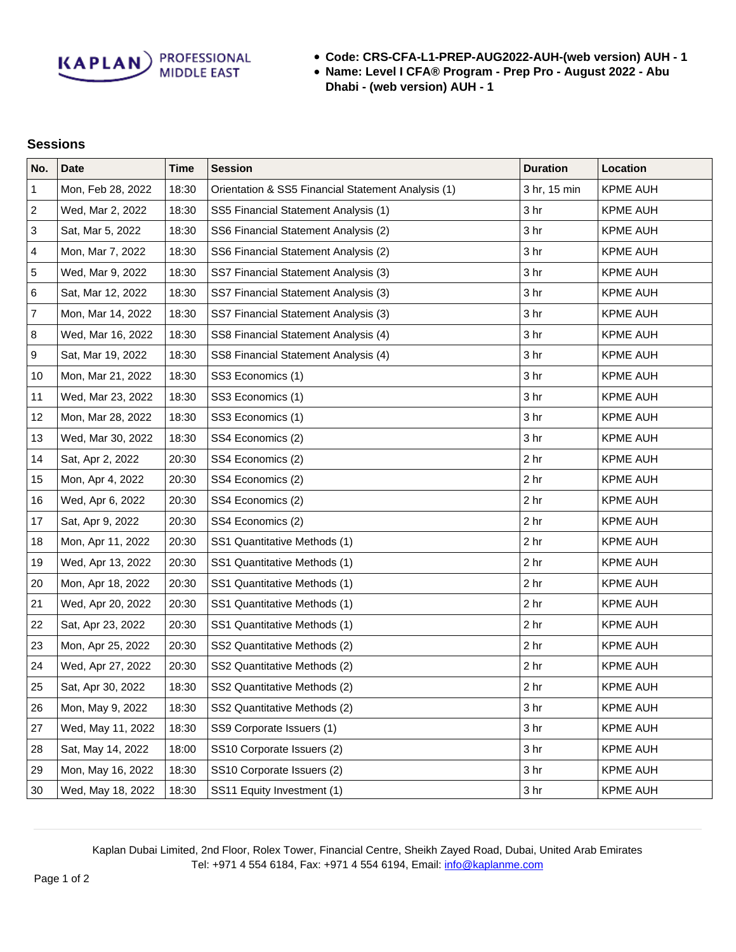**Code: CRS-CFA-L1-PREP-AUG2022-AUH-(web version) AUH - 1**

**Name: Level I CFA® Program - Prep Pro - August 2022 - Abu Dhabi - (web version) AUH - 1**

## **Sessions**

| No.              | <b>Date</b>       | <b>Time</b> | <b>Session</b>                                     | <b>Duration</b> | Location        |
|------------------|-------------------|-------------|----------------------------------------------------|-----------------|-----------------|
| $\mathbf{1}$     | Mon, Feb 28, 2022 | 18:30       | Orientation & SS5 Financial Statement Analysis (1) | 3 hr, 15 min    | <b>KPME AUH</b> |
| $\sqrt{2}$       | Wed, Mar 2, 2022  | 18:30       | SS5 Financial Statement Analysis (1)               | 3 hr            | <b>KPME AUH</b> |
| $\sqrt{3}$       | Sat, Mar 5, 2022  | 18:30       | SS6 Financial Statement Analysis (2)               | 3 <sub>hr</sub> | <b>KPME AUH</b> |
| 4                | Mon, Mar 7, 2022  | 18:30       | SS6 Financial Statement Analysis (2)               | 3 <sub>hr</sub> | <b>KPME AUH</b> |
| 5                | Wed, Mar 9, 2022  | 18:30       | SS7 Financial Statement Analysis (3)               | 3 <sub>hr</sub> | <b>KPME AUH</b> |
| 6                | Sat, Mar 12, 2022 | 18:30       | SS7 Financial Statement Analysis (3)               | 3 <sub>hr</sub> | <b>KPME AUH</b> |
| $\overline{7}$   | Mon, Mar 14, 2022 | 18:30       | SS7 Financial Statement Analysis (3)               | 3 <sub>hr</sub> | <b>KPME AUH</b> |
| $\bf 8$          | Wed, Mar 16, 2022 | 18:30       | SS8 Financial Statement Analysis (4)               | 3 <sub>hr</sub> | <b>KPME AUH</b> |
| $\boldsymbol{9}$ | Sat, Mar 19, 2022 | 18:30       | SS8 Financial Statement Analysis (4)               | 3 <sub>hr</sub> | <b>KPME AUH</b> |
| 10               | Mon, Mar 21, 2022 | 18:30       | SS3 Economics (1)                                  | 3 <sub>hr</sub> | <b>KPME AUH</b> |
| 11               | Wed, Mar 23, 2022 | 18:30       | SS3 Economics (1)                                  | 3 <sub>hr</sub> | <b>KPME AUH</b> |
| 12               | Mon, Mar 28, 2022 | 18:30       | SS3 Economics (1)                                  | 3 <sub>hr</sub> | <b>KPME AUH</b> |
| 13               | Wed, Mar 30, 2022 | 18:30       | SS4 Economics (2)                                  | 3 <sub>hr</sub> | <b>KPME AUH</b> |
| 14               | Sat, Apr 2, 2022  | 20:30       | SS4 Economics (2)                                  | 2 <sub>hr</sub> | <b>KPME AUH</b> |
| 15               | Mon, Apr 4, 2022  | 20:30       | SS4 Economics (2)                                  | 2 <sub>hr</sub> | <b>KPME AUH</b> |
| 16               | Wed, Apr 6, 2022  | 20:30       | SS4 Economics (2)                                  | 2 <sub>hr</sub> | <b>KPME AUH</b> |
| 17               | Sat, Apr 9, 2022  | 20:30       | SS4 Economics (2)                                  | 2 <sub>hr</sub> | <b>KPME AUH</b> |
| 18               | Mon, Apr 11, 2022 | 20:30       | SS1 Quantitative Methods (1)                       | 2 <sub>hr</sub> | <b>KPME AUH</b> |
| 19               | Wed, Apr 13, 2022 | 20:30       | SS1 Quantitative Methods (1)                       | 2 <sub>hr</sub> | <b>KPME AUH</b> |
| 20               | Mon, Apr 18, 2022 | 20:30       | SS1 Quantitative Methods (1)                       | 2 <sub>hr</sub> | <b>KPME AUH</b> |
| 21               | Wed, Apr 20, 2022 | 20:30       | SS1 Quantitative Methods (1)                       | 2 <sub>hr</sub> | <b>KPME AUH</b> |
| 22               | Sat, Apr 23, 2022 | 20:30       | SS1 Quantitative Methods (1)                       | 2 <sub>hr</sub> | <b>KPME AUH</b> |
| 23               | Mon, Apr 25, 2022 | 20:30       | SS2 Quantitative Methods (2)                       | 2 <sub>hr</sub> | <b>KPME AUH</b> |
| 24               | Wed, Apr 27, 2022 | 20:30       | SS2 Quantitative Methods (2)                       | 2 <sub>hr</sub> | <b>KPME AUH</b> |
| 25               | Sat, Apr 30, 2022 | 18:30       | SS2 Quantitative Methods (2)                       | 2 <sub>hr</sub> | <b>KPME AUH</b> |
| 26               | Mon, May 9, 2022  | 18:30       | SS2 Quantitative Methods (2)                       | 3 <sub>hr</sub> | <b>KPME AUH</b> |
| 27               | Wed, May 11, 2022 | 18:30       | SS9 Corporate Issuers (1)                          | 3 <sub>hr</sub> | <b>KPME AUH</b> |
| 28               | Sat, May 14, 2022 | 18:00       | SS10 Corporate Issuers (2)                         | 3 <sub>hr</sub> | <b>KPME AUH</b> |
| 29               | Mon, May 16, 2022 | 18:30       | SS10 Corporate Issuers (2)                         | 3 <sub>hr</sub> | <b>KPME AUH</b> |
| 30               | Wed, May 18, 2022 | 18:30       | SS11 Equity Investment (1)                         | 3 <sub>hr</sub> | KPME AUH        |

Kaplan Dubai Limited, 2nd Floor, Rolex Tower, Financial Centre, Sheikh Zayed Road, Dubai, United Arab Emirates Tel: +971 4 554 6184, Fax: +971 4 554 6194, Email: [info@kaplanme.com](mailto:info@kaplanme.com)